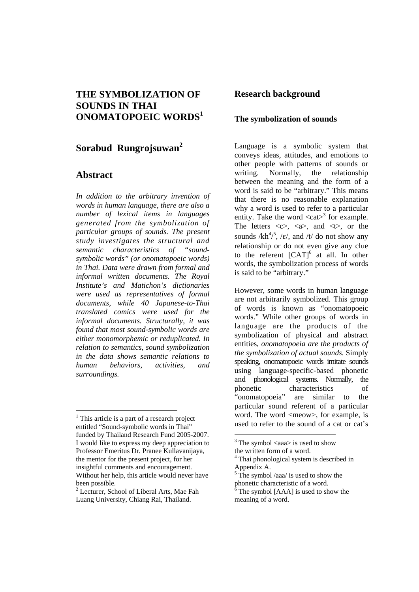# **THE SYMBOLIZATION OF SOUNDS IN THAI ONOMATOPOEIC WORDS<sup>1</sup>**

# **Sorabud Rungrojsuwan<sup>2</sup>**

# **Abstract**

1

*In addition to the arbitrary invention of words in human language, there are also a number of lexical items in languages generated from the symbolization of particular groups of sounds. The present study investigates the structural and semantic characteristics of "soundsymbolic words" (or onomatopoeic words) in Thai. Data were drawn from formal and informal written documents. The Royal Institute's and Matichon's dictionaries were used as representatives of formal documents, while 40 Japanese-to-Thai translated comics were used for the informal documents. Structurally, it was found that most sound-symbolic words are either monomorphemic or reduplicated. In relation to semantics, sound symbolization in the data shows semantic relations to human behaviors, activities, and surroundings.* 

### **Research background**

### **The symbolization of sounds**

Language is a symbolic system that conveys ideas, attitudes, and emotions to other people with patterns of sounds or writing. Normally, the relationship between the meaning and the form of a word is said to be "arbitrary." This means that there is no reasonable explanation why a word is used to refer to a particular entity. Take the word  $\langle \text{cat}\rangle^3$  for example. The letters  $\langle c \rangle$ ,  $\langle a \rangle$ , and  $\langle t \rangle$ , or the sounds  $/kh^{4/5}$ , / $\varepsilon$ /, and /t/ do not show any relationship or do not even give any clue to the referent  $[CAT]$ <sup>6</sup> at all. In other words, the symbolization process of words is said to be "arbitrary."

However, some words in human language are not arbitrarily symbolized. This group of words is known as "onomatopoeic words." While other groups of words in language are the products of the symbolization of physical and abstract entities, *onomatopoeia are the products of the symbolization of actual sounds*. Simply speaking, onomatopoeic words imitate sounds using language-specific-based phonetic and phonological systems. Normally, the phonetic characteristics of "onomatopoeia" are similar to the particular sound referent of a particular word. The word <meow>, for example, is used to refer to the sound of a cat or cat's

1

<sup>&</sup>lt;sup>1</sup> This article is a part of a research project entitled "Sound-symbolic words in Thai" funded by Thailand Research Fund 2005-2007. I would like to express my deep appreciation to Professor Emeritus Dr. Pranee Kullavanijaya, the mentor for the present project, for her insightful comments and encouragement. Without her help, this article would never have been possible.

<sup>2</sup> Lecturer, School of Liberal Arts, Mae Fah Luang University, Chiang Rai, Thailand.

 $3$  The symbol  $\langle$ aaa $\rangle$  is used to show the written form of a word.

<sup>&</sup>lt;sup>4</sup> Thai phonological system is described in Appendix A.

<sup>&</sup>lt;sup>5</sup> The symbol /aaa/ is used to show the phonetic characteristic of a word.

<sup>6</sup> The symbol [AAA] is used to show the meaning of a word.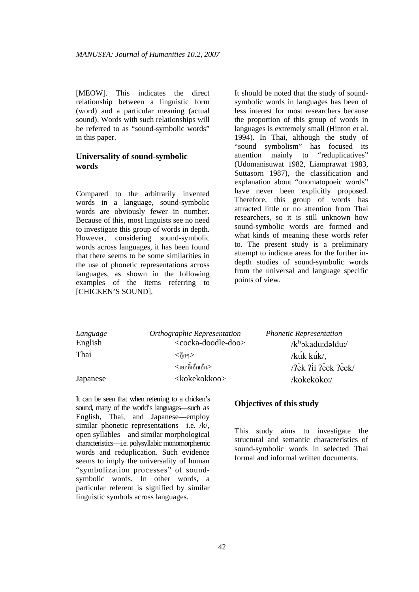[MEOW]. This indicates the direct relationship between a linguistic form (word) and a particular meaning (actual sound). Words with such relationships will be referred to as "sound-symbolic words" in this paper.

### **Universality of sound-symbolic words**

Compared to the arbitrarily invented words in a language, sound-symbolic words are obviously fewer in number. Because of this, most linguists see no need to investigate this group of words in depth. However, considering sound-symbolic words across languages, it has been found that there seems to be some similarities in the use of phonetic representations across languages, as shown in the following examples of the items referring to [CHICKEN'S SOUND].

It should be noted that the study of soundsymbolic words in languages has been of less interest for most researchers because the proportion of this group of words in languages is extremely small (Hinton et al. 1994). In Thai, although the study of "sound symbolism" has focused its attention mainly to "reduplicatives" (Udomanisuwat 1982, Liamprawat 1983, Suttasorn 1987), the classification and explanation about "onomatopoeic words" have never been explicitly proposed. Therefore, this group of words has attracted little or no attention from Thai researchers, so it is still unknown how sound-symbolic words are formed and what kinds of meaning these words refer to. The present study is a preliminary attempt to indicate areas for the further indepth studies of sound-symbolic words from the universal and language specific points of view.

| Language | Orthographic Representation           | <b>Phonetic Representation</b> |
|----------|---------------------------------------|--------------------------------|
| English  | <cocka-doodle-doo></cocka-doodle-doo> | /k <sup>h</sup> okadu:dəldu:/  |
| Thai     | $<$ ก็กๆ $>$                          | /kuk kuk/,                     |
|          | $<$ เอกอี๊เอ้กเอ้ก $>$                | /?èk ?ii ?êek ?êek/            |
| Japanese | <kokekokkoo></kokekokkoo>             | /kokekoko:/                    |

**Objectives of this study** 

This study aims to investigate the structural and semantic characteristics of sound-symbolic words in selected Thai formal and informal written documents.

sound, many of the world's languages—such as English, Thai, and Japanese—employ similar phonetic representations—i.e. /k/, open syllables—and similar morphological characteristics—i.e. polysyllabic monomorphemic words and reduplication. Such evidence seems to imply the universality of human "symbolization processes" of soundsymbolic words. In other words, a particular referent is signified by similar linguistic symbols across languages.

It can be seen that when referring to a chicken's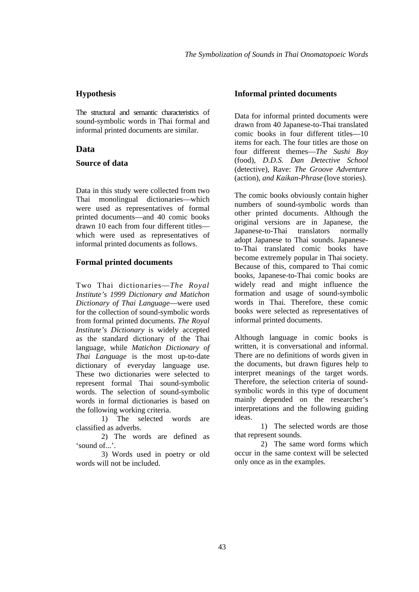#### **Hypothesis**

The structural and semantic characteristics of sound-symbolic words in Thai formal and informal printed documents are similar.

### **Data**

#### **Source of data**

Data in this study were collected from two Thai monolingual dictionaries—which were used as representatives of formal printed documents—and 40 comic books drawn 10 each from four different titles which were used as representatives of informal printed documents as follows.

#### **Formal printed documents**

Two Thai dictionaries—*The Royal Institute's 1999 Dictionary and Matichon Dictionary of Thai Language*—were used for the collection of sound-symbolic words from formal printed documents. *The Royal Institute's Dictionary* is widely accepted as the standard dictionary of the Thai language, while *Matichon Dictionary of Thai Language* is the most up-to-date dictionary of everyday language use. These two dictionaries were selected to represent formal Thai sound-symbolic words. The selection of sound-symbolic words in formal dictionaries is based on the following working criteria.

 1) The selected words are classified as adverbs.

 2) The words are defined as 'sound of...'

 3) Words used in poetry or old words will not be included.

#### **Informal printed documents**

Data for informal printed documents were drawn from 40 Japanese-to-Thai translated comic books in four different titles—10 items for each. The four titles are those on four different themes—*The Sushi Boy*  (food), *D.D.S. Dan Detective School* (detective), Rave: *The Groove Adventure*  (action)*, and Kaikan-Phrase* (love stories).

The comic books obviously contain higher numbers of sound-symbolic words than other printed documents. Although the original versions are in Japanese, the Japanese-to-Thai translators normally adopt Japanese to Thai sounds. Japaneseto-Thai translated comic books have become extremely popular in Thai society. Because of this, compared to Thai comic books, Japanese-to-Thai comic books are widely read and might influence the formation and usage of sound-symbolic words in Thai. Therefore, these comic books were selected as representatives of informal printed documents.

Although language in comic books is written, it is conversational and informal. There are no definitions of words given in the documents, but drawn figures help to interpret meanings of the target words. Therefore, the selection criteria of soundsymbolic words in this type of document mainly depended on the researcher's interpretations and the following guiding ideas.

1) The selected words are those that represent sounds.

2) The same word forms which occur in the same context will be selected only once as in the examples.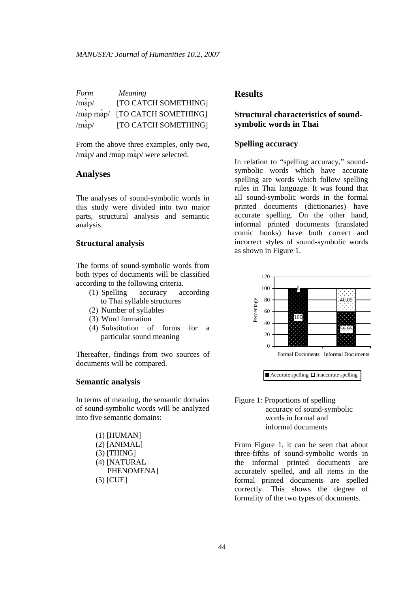| Form  | <i>Meaning</i>                 |
|-------|--------------------------------|
| /map/ | [TO CATCH SOMETHING]           |
|       | /map map/ [TO CATCH SOMETHING] |
| /map/ | [TO CATCH SOMETHING]           |

From the above three examples, only two, /map/ and /map map/ were selected.

# **Analyses**

The analyses of sound-symbolic words in this study were divided into two major parts, structural analysis and semantic analysis.

#### **Structural analysis**

The forms of sound-symbolic words from both types of documents will be classified according to the following criteria.

- (1) Spelling accuracy according to Thai syllable structures
- (2) Number of syllables
- (3) Word formation
- (4) Substitution of forms for a particular sound meaning

Thereafter, findings from two sources of documents will be compared.

#### **Semantic analysis**

In terms of meaning, the semantic domains of sound-symbolic words will be analyzed into five semantic domains:

| $(1)$ [HUMAN]  |
|----------------|
| $(2)$ [ANIMAL] |
| $(3)$ [THING]  |
| (4) [NATURAL   |
| PHENOMENA]     |
| $(5)$ [CUE]    |

#### **Results**

### **Structural characteristics of soundsymbolic words in Thai**

#### **Spelling accuracy**

In relation to "spelling accuracy," soundsymbolic words which have accurate spelling are words which follow spelling rules in Thai language. It was found that all sound-symbolic words in the formal printed documents (dictionaries) have accurate spelling. On the other hand, informal printed documents (translated comic books) have both correct and incorrect styles of sound-symbolic words as shown in Figure 1.



 $\Box$  Accurate spelling  $\Box$  Inaccurate spelling

#### Figure 1: Proportions of spelling accuracy of sound-symbolic words in formal and informal documents

From Figure 1, it can be seen that about three-fifths of sound-symbolic words in the informal printed documents are accurately spelled, and all items in the formal printed documents are spelled correctly. This shows the degree of formality of the two types of documents.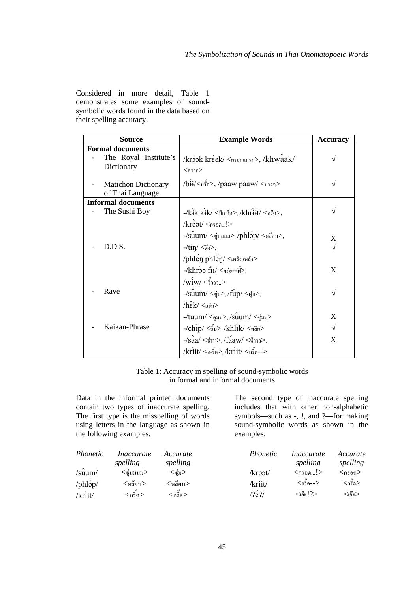Considered in more detail, Table 1 demonstrates some examples of soundsymbolic words found in the data based on their spelling accuracy.

| <b>Source</b>              | <b>Example Words</b>                                                                  | <b>Accuracy</b> |
|----------------------------|---------------------------------------------------------------------------------------|-----------------|
| <b>Formal documents</b>    |                                                                                       |                 |
| The Royal Institute's      | /krook kreek/ <nsonunsn>, /khwaak/</nsonunsn>                                         |                 |
| Dictionary                 | $<$ ควาก $>$                                                                          |                 |
| <b>Matichon Dictionary</b> | /bii/<บรื้อ>, /paaw paaw/ <ปาวๆ>                                                      |                 |
| of Thai Language           |                                                                                       |                 |
| <b>Informal documents</b>  |                                                                                       |                 |
| The Sushi Boy              | -/ $kik$ $kik/$ $<$ กึก กึก $>$ , / $khr$ $iit/$ $<$ กรืค $>$ ,                       |                 |
|                            | $k$ root/ $<$ nson!>,                                                                 |                 |
|                            | -/ $\sin m/$ <ซุ่มมมม>, /phlop/ <ผลือบ>,                                              | X               |
| D.D.S.                     | -/tɨŋ/ <ตึง>,                                                                         | $\sqrt{}$       |
|                            | /phlen phlen/ <inds inds=""></inds>                                                   |                 |
|                            | $-k$ hroo fii/ $\langle$ คร่อ--ฟื้ $>$                                                | X               |
|                            | /wiw/ <วิ้ววว>                                                                        |                 |
| Rave                       | -/ $\hat{\mathrm{su}}$ น $\mathrm{m}/<$ ซู่ม $>$ ,/ $\hat{\mathrm{fup}}/<$ ฝุ่บ $>$ , |                 |
|                            | $/h\hat{\epsilon}$ k/ $\lt$ udn>                                                      |                 |
|                            | -/tuum/ <ตูมม>,/ $\sin m / \sin m$                                                    | X               |
| Kaikan-Phrase              | -/ $\chi$ hip/ <ชิ้บ>,/khlik/ <คลิก>                                                  |                 |
|                            | -/saa/ <ซ่าาา>,/faaw/ <ฟ้าวว>,                                                        | X               |
|                            | /kri̇̀it/ <ก-รี๋ด>,/kri̇́it/ <กรี๊ด-->                                                |                 |

Table 1: Accuracy in spelling of sound-symbolic words in formal and informal documents

Data in the informal printed documents contain two types of inaccurate spelling. The first type is the misspelling of words using letters in the language as shown in the following examples.

The second type of inaccurate spelling includes that with other non-alphabetic symbols—such as -, !, and ?—for making sound-symbolic words as shown in the examples.

| Phonetic    | <i>Inaccurate</i><br>spelling | Accurate<br>spelling | <i>Phonetic</i> | <i>Inaccurate</i><br>spelling | Accurate<br>spelling |
|-------------|-------------------------------|----------------------|-----------------|-------------------------------|----------------------|
| $\sin m$    | $<$ ซุ่มมมม $>$               | <ซุ่ม>               | $/$ kroot $/$   | <กรอค…!>                      | $<$ กรอด $>$         |
| $\pi$ hlop/ | $<$ ผล๊อบ $>$                 | <พล็อบ>              | /kriit/         | <กรี๊ค-->                     | <กรี้ค>              |
| /kriit/     | <กริ์ค>                       | <กรีค>               | $\sqrt{2}e^2$   | $<$ เอ๊ะ!? $>$                | <เอ๊ะ>               |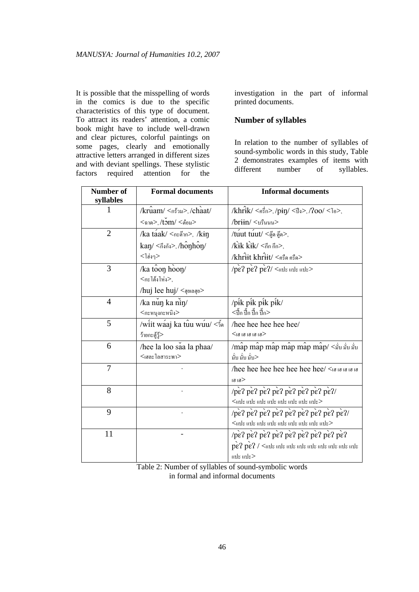It is possible that the misspelling of words in the comics is due to the specific characteristics of this type of document. To attract its readers' attention, a comic book might have to include well-drawn and clear pictures, colorful paintings on some pages, clearly and emotionally attractive letters arranged in different sizes and with deviant spellings. These stylistic factors required attention for the investigation in the part of informal printed documents.

#### **Number of syllables**

In relation to the number of syllables of sound-symbolic words in this study, Table 2 demonstrates examples of items with different number of syllables.

| Number of<br>syllables | <b>Formal documents</b>                                                       | <b>Informal documents</b>                                                                                                         |
|------------------------|-------------------------------------------------------------------------------|-----------------------------------------------------------------------------------------------------------------------------------|
| 1                      | $k$ rน $am / ร้าม>,/chaat /$                                                  | /khrik/ $\langle \hat{n} \hat{s} \hat{n} \rangle$ , /pin/ $\langle \hat{n} \hat{s} \rangle$ , / $200 / \langle \hat{n} \rangle$ , |
|                        | $<$ ฉาด $>$ , / $\textrm{t}$ ว $\textrm{m}$ / $<$ ต๋อม $>$                    | $\sqrt{b}$ riin $\sqrt{b}$ งรืนนน $>$                                                                                             |
| $\overline{2}$         | $\lambda$ ka taak/ <n<math>\epsilonต๊าก&gt;, <math>\lambda</math>kin</n<math> | /tuut tuut/ $<$ ตุ๊ด ตู๊ด>,                                                                                                       |
|                        | kan/ $\langle \hat{n} \rangle$ , honhon/                                      | $\Lambda$ ik kik/ $\langle$ กึก กึก $>$ ,                                                                                         |
|                        | <โฮ่งๆ>                                                                       | /khrit khrit/ <ครืด ครืด>                                                                                                         |
| 3                      | /ka toon hoon/                                                                | $/pe$ ? $pe$ ? $pe$ ?/ $\lt$ ule ule ule>                                                                                         |
|                        | <กะโต้งโห่ง>,                                                                 |                                                                                                                                   |
|                        | /huj lee huj/ <qwaqv></qwaqv>                                                 |                                                                                                                                   |
| $\overline{4}$         | /ka nun ka nin/                                                               | /pik pik pik pik/                                                                                                                 |
|                        | <กะหนุงกะหนิง>                                                                | <ปิ้ก ปิ้ก ปิ้ก ปี้ก>                                                                                                             |
| 5                      | /witt waaj ka tuu wuu/ <in< th=""><th>hee hee hee hee/</th></in<>             | hee hee hee hee/                                                                                                                  |
|                        | ว้าขกะตู้วู้>                                                                 | $<$ (9 i 8 i 8 i 8 i 9 $>$                                                                                                        |
| 6                      | hee la loo saa la phaa/                                                       | $\hat{\mathcal{C}}$ map map map map map $\hat{\mathcal{C}}$ < ม้บ ม้บ ม้บ                                                         |
|                        | $<$ เฮละ โลสาระพา $>$                                                         | มั่บ มั่บ มั่บ>                                                                                                                   |
| 7                      |                                                                               | hee hee hee hee hee hee/ <uu th="" uu="" uu<=""></uu>                                                                             |
|                        |                                                                               | 1918                                                                                                                              |
| 8                      |                                                                               |                                                                                                                                   |
|                        |                                                                               | $<$ แปะ แปะ แปะ แปะ แปะ แปะ แปะ แปะ $>$                                                                                           |
| 9                      |                                                                               |                                                                                                                                   |
|                        |                                                                               | $<$ uls uls uls uls uls uls uls uls uls uls $>$                                                                                   |
| 11                     |                                                                               | pe? pe? pe? pe? pe? pe? pe? pe? pe? pe?                                                                                           |
|                        |                                                                               | $\overline{pe}$ ? $\overline{pe}$ ? / <une th="" une="" une<=""></une>                                                            |
|                        |                                                                               | แปะ แปะ $>$                                                                                                                       |

Table 2: Number of syllables of sound-symbolic words in formal and informal documents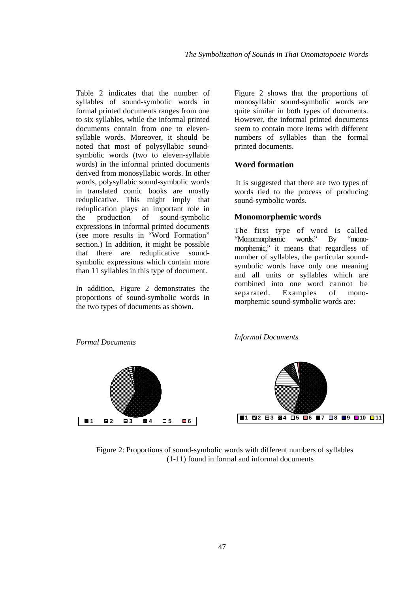Table 2 indicates that the number of syllables of sound-symbolic words in formal printed documents ranges from one to six syllables, while the informal printed documents contain from one to elevensyllable words. Moreover, it should be noted that most of polysyllabic soundsymbolic words (two to eleven-syllable words) in the informal printed documents derived from monosyllabic words. In other words, polysyllabic sound-symbolic words in translated comic books are mostly reduplicative. This might imply that reduplication plays an important role in the production of sound-symbolic expressions in informal printed documents (see more results in "Word Formation" section.) In addition, it might be possible that there are reduplicative soundsymbolic expressions which contain more than 11 syllables in this type of document.

In addition, Figure 2 demonstrates the proportions of sound-symbolic words in the two types of documents as shown.

Figure 2 shows that the proportions of monosyllabic sound-symbolic words are quite similar in both types of documents. However, the informal printed documents seem to contain more items with different numbers of syllables than the formal printed documents.

### **Word formation**

It is suggested that there are two types of words tied to the process of producing sound-symbolic words.

### **Monomorphemic words**

The first type of word is called "Monomorphemic words." By "monomorphemic," it means that regardless of number of syllables, the particular soundsymbolic words have only one meaning and all units or syllables which are combined into one word cannot be separated. Examples of monomorphemic sound-symbolic words are:

*Formal Documents*

*Informal Documents*



Figure 2: Proportions of sound-symbolic words with different numbers of syllables (1-11) found in formal and informal documents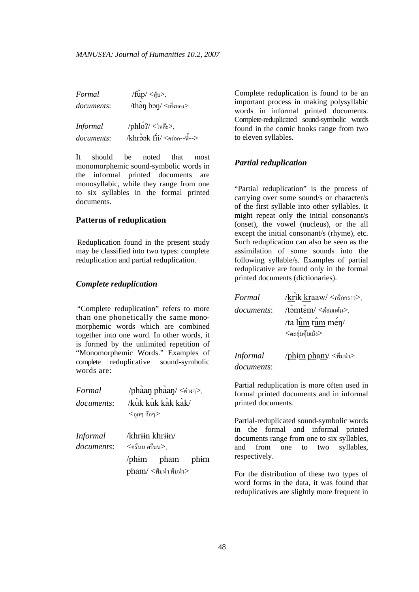| Formal            | $/\hat{fup}/\langle\psi $ $>$ ,                     |
|-------------------|-----------------------------------------------------|
| <i>documents:</i> | $/\text{th}$ อ $\text{p}$ bon/ $\text{th}$ งของ $>$ |
|                   |                                                     |
| <b>Informal</b>   | $\mu h \leq 2$ โพล๊ะ>,                              |
| documents:        | $/khr$ $3$ $2$ $k$ $fi/$ $<$ คร่อก--ฟื้-- $>$       |

It should be noted that most monomorphemic sound-symbolic words in the informal printed documents are monosyllabic, while they range from one to six syllables in the formal printed documents.

#### **Patterns of reduplication**

Reduplication found in the present study may be classified into two types: complete reduplication and partial reduplication.

#### *Complete reduplication*

"Complete reduplication" refers to more than one phonetically the same monomorphemic words which are combined together into one word. In other words, it is formed by the unlimited repetition of "Monomorphemic Words." Examples of complete reduplicative sound-symbolic words are:

| Formal                        |                                     | /phaan phaan/ <wivg>,</wivg>                    |  |
|-------------------------------|-------------------------------------|-------------------------------------------------|--|
| documents:                    | $<$ กุกๆ กักๆ $>$                   | $/kuk$ kuk kak kak/                             |  |
| <i>Informal</i><br>documents: | /khriin khriin/<br><ครื่นน ครื่นน>, | /phim pham phim<br>$pham/ \leq$ พึมพำ พึมพำ $>$ |  |

Complete reduplication is found to be an important process in making polysyllabic words in informal printed documents. Complete-reduplicated sound-symbolic words found in the comic books range from two to eleven syllables.

### *Partial reduplication*

"Partial reduplication" is the process of carrying over some sound/s or character/s of the first syllable into other syllables. It might repeat only the initial consonant/s (onset), the vowel (nucleus), or the all except the initial consonant/s (rhyme), etc. Such reduplication can also be seen as the assimilation of some sounds into the following syllable/s. Examples of partial reduplicative are found only in the formal printed documents (dictionaries).

| Formal                        | /krik kraaw/ <nริกกราว>,</nริกกราว>                               |
|-------------------------------|-------------------------------------------------------------------|
| documents:                    | $\check{\mathcal{C}}$ omtem/ $\check{\mathcal{C}}$ ต่อมแต่ม $>$ , |
|                               | /ta lum tum mén/                                                  |
|                               | $<$ ตะลุ่มตุ้มเม้ง $>$                                            |
| <b>Informal</b><br>documents: | /phim pham/ <พึมพำ>                                               |
|                               | Dortial reduplication is more often used in                       |

Partial reduplication is more often used in formal printed documents and in informal printed documents.

Partial-reduplicated sound-symbolic words in the formal and informal printed documents range from one to six syllables, and from one to two syllables, respectively.

For the distribution of these two types of word forms in the data, it was found that reduplicatives are slightly more frequent in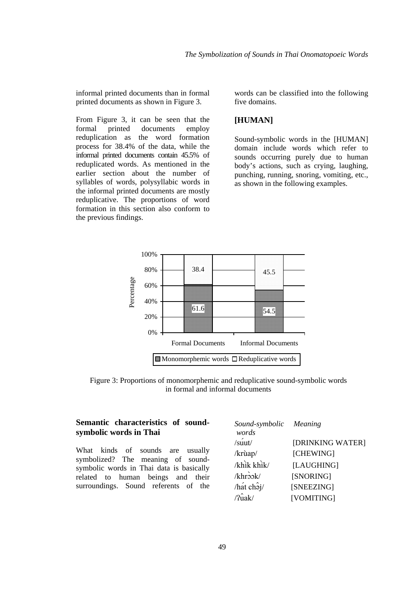informal printed documents than in formal printed documents as shown in Figure 3.

From Figure 3, it can be seen that the formal printed documents employ reduplication as the word formation process for 38.4% of the data, while the informal printed documents contain 45.5% of reduplicated words. As mentioned in the earlier section about the number of syllables of words, polysyllabic words in the informal printed documents are mostly reduplicative. The proportions of word formation in this section also conform to the previous findings.

words can be classified into the following five domains.

### **[HUMAN]**

Sound-symbolic words in the [HUMAN] domain include words which refer to sounds occurring purely due to human body's actions, such as crying, laughing, punching, running, snoring, vomiting, etc., as shown in the following examples.



Figure 3: Proportions of monomorphemic and reduplicative sound-symbolic words in formal and informal documents

### **Semantic characteristics of soundsymbolic words in Thai**

What kinds of sounds are usually symbolized? The meaning of soundsymbolic words in Thai data is basically related to human beings and their surroundings. Sound referents of the

| Sound-symbolic Meaning            |                  |
|-----------------------------------|------------------|
| words                             |                  |
| $\sin(t)$                         | [DRINKING WATER] |
| /krùap/                           | [CHEWING]        |
| /khik khik/                       | [LAUGHING]       |
| $/k$ hrook/                       | [SNORING]        |
| $/\hat{hat}$ ch <sub>2j</sub> $/$ | [SNEEZING]       |
| $\hat{\text{Plak}}$               | [VOMITING]       |
|                                   |                  |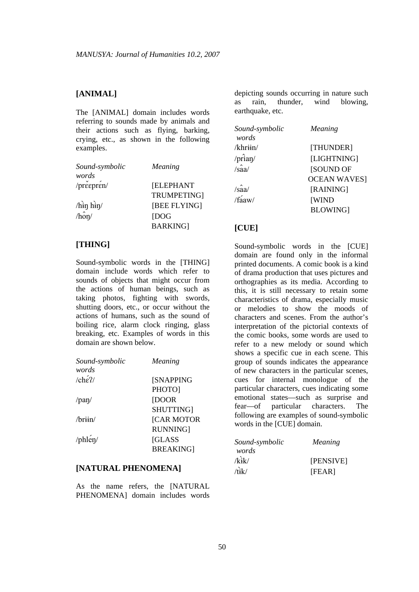### **[ANIMAL]**

The [ANIMAL] domain includes words referring to sounds made by animals and their actions such as flying, barking, crying, etc., as shown in the following examples.

| Sound-symbolic      | Meaning           |
|---------------------|-------------------|
| words               |                   |
| /preepren/          | <b>[ELEPHANT</b>  |
|                     | <b>TRUMPETING</b> |
| $\binom{1}{1}$ hin/ | [BEE FLYING]      |
| $/\hat{\text{hor}}$ | <b>IDOG</b>       |
|                     | <b>BARKING</b>    |

### **[THING]**

Sound-symbolic words in the [THING] domain include words which refer to sounds of objects that might occur from the actions of human beings, such as taking photos, fighting with swords, shutting doors, etc., or occur without the actions of humans, such as the sound of boiling rice, alarm clock ringing, glass breaking, etc. Examples of words in this domain are shown below.

| Sound-symbolic | <b>Meaning</b>    |
|----------------|-------------------|
| words          |                   |
| $/$ che $2/$   | <b>[SNAPPING</b>  |
|                | PHOTO1            |
| /pan/          | [DOOR             |
|                | SHUTTING]         |
| $\pi$ iin/     | <b>[CAR MOTOR</b> |
|                | <b>RUNNING</b>    |
| /phlen/        | <b>SCLASS</b>     |
|                | <b>BREAKING</b>   |

#### **[NATURAL PHENOMENA]**

As the name refers, the [NATURAL PHENOMENA] domain includes words depicting sounds occurring in nature such as rain, thunder, wind blowing, earthquake, etc.

| Sound-symbolic        | Meaning            |
|-----------------------|--------------------|
| words                 |                    |
| /khr <del>ii</del> n/ | [THUNDER]          |
| /prian/               | [LIGHTNING]        |
| $/s\hat{a}a$          | <b>[SOUND OF</b>   |
|                       | <b>OCEAN WAVES</b> |
| $/s\hat{a}a$          | [RAINING]          |
| $/\hat{\text{faaw}}$  | <b>WIND</b>        |
|                       | <b>BLOWING</b>     |

### **[CUE]**

Sound-symbolic words in the [CUE] domain are found only in the informal printed documents. A comic book is a kind of drama production that uses pictures and orthographies as its media. According to this, it is still necessary to retain some characteristics of drama, especially music or melodies to show the moods of characters and scenes. From the author's interpretation of the pictorial contexts of the comic books, some words are used to refer to a new melody or sound which shows a specific cue in each scene. This group of sounds indicates the appearance of new characters in the particular scenes, cues for internal monologue of the particular characters, cues indicating some emotional states—such as surprise and fear—of particular characters. The following are examples of sound-symbolic words in the [CUE] domain.

| Sound-symbolic | Meaning   |  |  |
|----------------|-----------|--|--|
| words          |           |  |  |
| $\vec{k}$ ik/  | [PENSIVE] |  |  |
| /tik/          | [FEAR]    |  |  |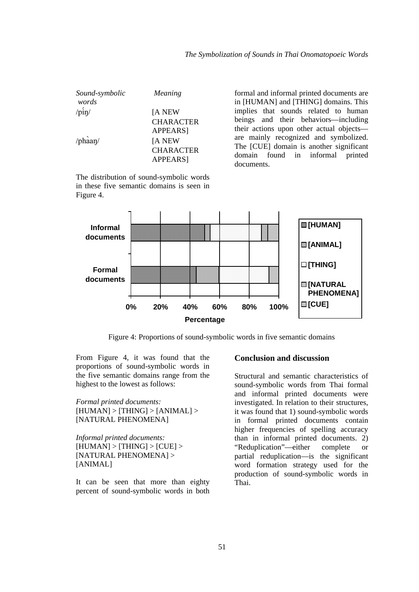| Sound-symbolic<br>words | Meaning          |
|-------------------------|------------------|
| $\sin\theta$            | [A NEW           |
|                         | <b>CHARACTER</b> |
|                         | APPEARS]         |
| $/\text{phaan}/$        | [A NEW           |
|                         | <b>CHARACTER</b> |
|                         | APPEARS]         |

The distribution of sound-symbolic words in these five semantic domains is seen in Figure 4.

formal and informal printed documents are in [HUMAN] and [THING] domains. This implies that sounds related to human beings and their behaviors—including their actions upon other actual objects are mainly recognized and symbolized. The [CUE] domain is another significant domain found in informal printed documents.



Figure 4: Proportions of sound-symbolic words in five semantic domains

From Figure 4, it was found that the proportions of sound-symbolic words in the five semantic domains range from the highest to the lowest as follows:

*Formal printed documents:*  $[HUMAN] > [THING] > [ANIMAL] >$ [NATURAL PHENOMENA]

*Informal printed documents:*   $[HUMAN] > [THING] > [CUE] >$ [NATURAL PHENOMENA] > [ANIMAL]

It can be seen that more than eighty percent of sound-symbolic words in both

### **Conclusion and discussion**

Structural and semantic characteristics of sound-symbolic words from Thai formal and informal printed documents were investigated. In relation to their structures, it was found that 1) sound-symbolic words in formal printed documents contain higher frequencies of spelling accuracy than in informal printed documents. 2) "Reduplication"—either complete or partial reduplication—is the significant word formation strategy used for the production of sound-symbolic words in Thai.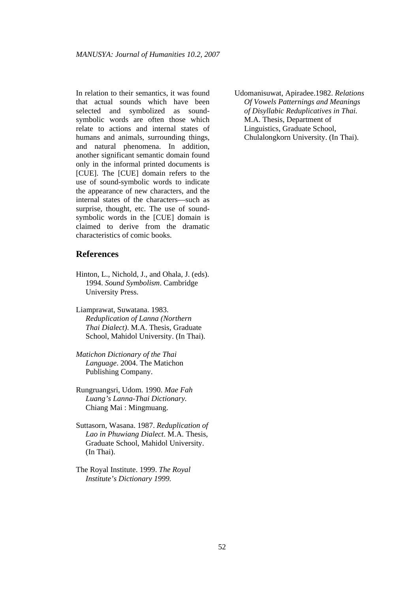In relation to their semantics, it was found that actual sounds which have been selected and symbolized as soundsymbolic words are often those which relate to actions and internal states of humans and animals, surrounding things, and natural phenomena. In addition, another significant semantic domain found only in the informal printed documents is [CUE]. The [CUE] domain refers to the use of sound-symbolic words to indicate the appearance of new characters, and the internal states of the characters—such as surprise, thought, etc. The use of soundsymbolic words in the [CUE] domain is claimed to derive from the dramatic characteristics of comic books.

### **References**

- Hinton, L., Nichold, J., and Ohala, J. (eds). 1994. *Sound Symbolism*. Cambridge University Press.
- Liamprawat, Suwatana. 1983. *Reduplication of Lanna (Northern Thai Dialect)*. M.A. Thesis, Graduate School, Mahidol University. (In Thai).
- *Matichon Dictionary of the Thai Language*. 2004. The Matichon Publishing Company.
- Rungruangsri, Udom. 1990. *Mae Fah Luang's Lanna-Thai Dictionary.*  Chiang Mai : Mingmuang.
- Suttasorn, Wasana. 1987. *Reduplication of Lao in Phuwiang Dialect*. M.A. Thesis, Graduate School, Mahidol University. (In Thai).
- The Royal Institute. 1999. *The Royal Institute's Dictionary 1999.*

Udomanisuwat, Apiradee.1982. *Relations Of Vowels Patternings and Meanings of Disyllabic Reduplicatives in Thai.* M.A. Thesis, Department of Linguistics, Graduate School, Chulalongkorn University. (In Thai).